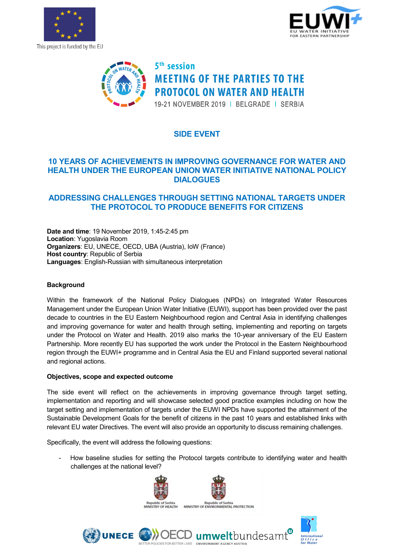

This project is funded by the EU





# **SIDE EVENT**

## **10 YEARS OF ACHIEVEMENTS IN IMPROVING GOVERNANCE FOR WATER AND HEALTH UNDER THE EUROPEAN UNION WATER INITIATIVE NATIONAL POLICY DIALOGUES**

## **ADDRESSING CHALLENGES THROUGH SETTING NATIONAL TARGETS UNDER THE PROTOCOL TO PRODUCE BENEFITS FOR CITIZENS**

**Date and time**: 19 November 2019, 1:45-2:45 pm **Location**: Yugoslavia Room **Organizers**: EU, UNECE, OECD, UBA (Austria), IoW (France) **Host country**: Republic of Serbia **Languages**: English-Russian with simultaneous interpretation

### **Background**

Within the framework of the National Policy Dialogues (NPDs) on Integrated Water Resources Management under the European Union Water Initiative (EUWI), support has been provided over the past decade to countries in the EU Eastern Neighbourhood region and Central Asia in identifying challenges and improving governance for water and health through setting, implementing and reporting on targets under the Protocol on Water and Health. 2019 also marks the 10-year anniversary of the EU Eastern Partnership. More recently EU has supported the work under the Protocol in the Eastern Neighbourhood region through the EUWI+ programme and in Central Asia the EU and Finland supported several national and regional actions.

### **Objectives, scope and expected outcome**

The side event will reflect on the achievements in improving governance through target setting, implementation and reporting and will showcase selected good practice examples including on how the target setting and implementation of targets under the EUWI NPDs have supported the attainment of the Sustainable Development Goals for the benefit of citizens in the past 10 years and established links with relevant EU water Directives. The event will also provide an opportunity to discuss remaining challenges.

Specifically, the event will address the following questions:

**UNECE** 

How baseline studies for setting the Protocol targets contribute to identifying water and health challenges at the national level?

ENVIRONMENT ACENCY ALISTRIA



ICIES FOR RETTER LIVES



ındesam